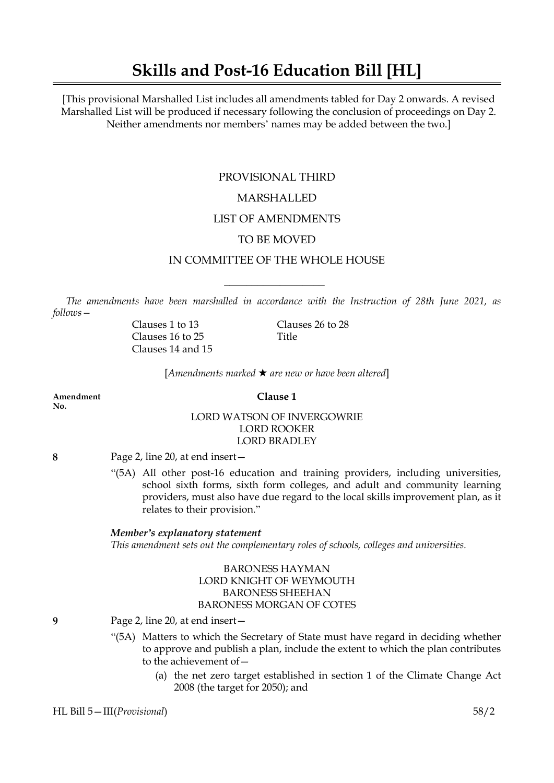# **Skills and Post-16 Education Bill [HL]**

[This provisional Marshalled List includes all amendments tabled for Day 2 onwards. A revised Marshalled List will be produced if necessary following the conclusion of proceedings on Day 2. Neither amendments nor members' names may be added between the two.]

## PROVISIONAL THIRD MARSHALLED

### LIST OF AMENDMENTS

### TO BE MOVED

### IN COMMITTEE OF THE WHOLE HOUSE

 $\overline{\phantom{a}}$  , where  $\overline{\phantom{a}}$ 

*The amendments have been marshalled in accordance with the Instruction of 28th June 2021, as follows—*

> Clauses 16 to 25 Title Clauses 14 and 15

Clauses 1 to 13 Clauses 26 to 28

[*Amendments marked* \* *are new or have been altered*]

**Amendment Clause 1 No.**

### LORD WATSON OF INVERGOWRIE LORD ROOKER LORD BRADLEY

**8** Page 2, line 20, at end insert—

"(5A) All other post-16 education and training providers, including universities, school sixth forms, sixth form colleges, and adult and community learning providers, must also have due regard to the local skills improvement plan, as it relates to their provision."

### *Member's explanatory statement*

*This amendment sets out the complementary roles of schools, colleges and universities.*

### BARONESS HAYMAN LORD KNIGHT OF WEYMOUTH BARONESS SHEEHAN BARONESS MORGAN OF COTES

#### **9** Page 2, line 20, at end insert—

- "(5A) Matters to which the Secretary of State must have regard in deciding whether to approve and publish a plan, include the extent to which the plan contributes to the achievement of—
	- (a) the net zero target established in section 1 of the Climate Change Act 2008 (the target for 2050); and

HL Bill 5—III(*Provisional*) 58/2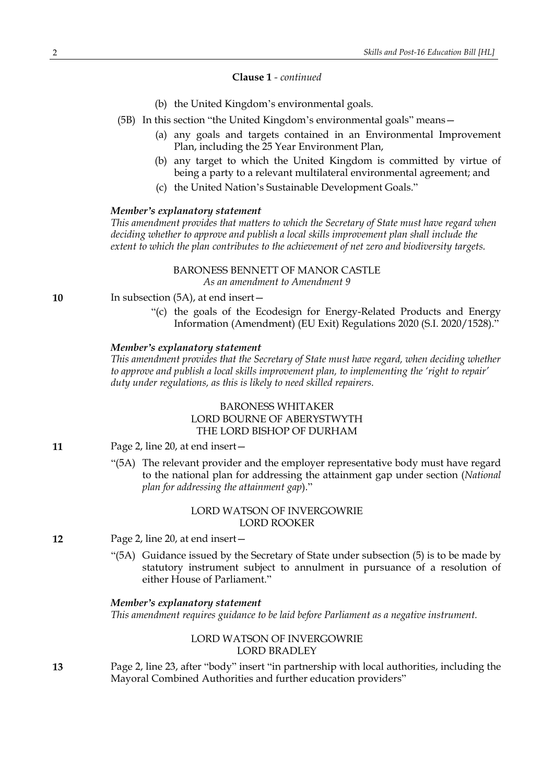### **Clause 1** *- continued*

- (b) the United Kingdom's environmental goals.
- (5B) In this section "the United Kingdom's environmental goals" means—
	- (a) any goals and targets contained in an Environmental Improvement Plan, including the 25 Year Environment Plan,
	- (b) any target to which the United Kingdom is committed by virtue of being a party to a relevant multilateral environmental agreement; and
	- (c) the United Nation's Sustainable Development Goals."

### *Member's explanatory statement*

*This amendment provides that matters to which the Secretary of State must have regard when deciding whether to approve and publish a local skills improvement plan shall include the extent to which the plan contributes to the achievement of net zero and biodiversity targets.*

### BARONESS BENNETT OF MANOR CASTLE

*As an amendment to Amendment 9*

**10** In subsection (5A), at end insert—

"(c) the goals of the Ecodesign for Energy-Related Products and Energy Information (Amendment) (EU Exit) Regulations 2020 (S.I. 2020/1528)."

#### *Member's explanatory statement*

*This amendment provides that the Secretary of State must have regard, when deciding whether to approve and publish a local skills improvement plan, to implementing the 'right to repair' duty under regulations, as this is likely to need skilled repairers.*

### BARONESS WHITAKER LORD BOURNE OF ABERYSTWYTH THE LORD BISHOP OF DURHAM

- **11** Page 2, line 20, at end insert—
	- "(5A) The relevant provider and the employer representative body must have regard to the national plan for addressing the attainment gap under section (*National plan for addressing the attainment gap*)."

### LORD WATSON OF INVERGOWRIE LORD ROOKER

**12** Page 2, line 20, at end insert—

"(5A) Guidance issued by the Secretary of State under subsection (5) is to be made by statutory instrument subject to annulment in pursuance of a resolution of either House of Parliament."

#### *Member's explanatory statement*

*This amendment requires guidance to be laid before Parliament as a negative instrument.*

### LORD WATSON OF INVERGOWRIE LORD BRADLEY

**13** Page 2, line 23, after "body" insert "in partnership with local authorities, including the Mayoral Combined Authorities and further education providers"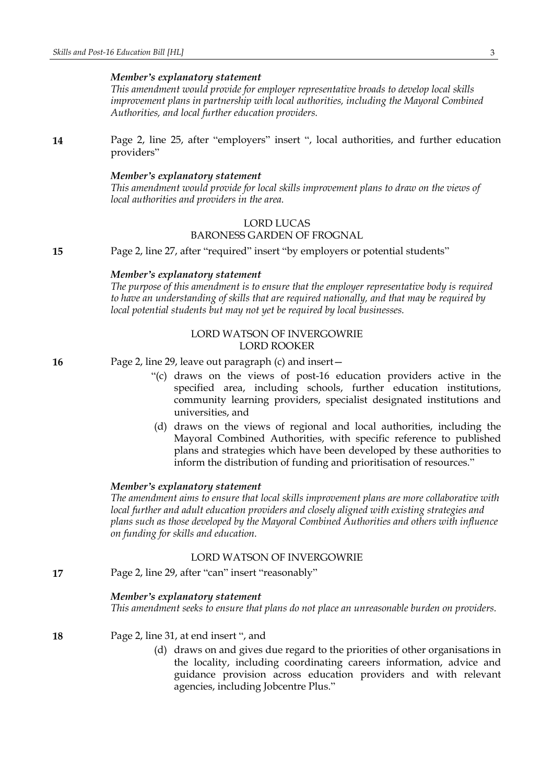*This amendment would provide for employer representative broads to develop local skills improvement plans in partnership with local authorities, including the Mayoral Combined Authorities, and local further education providers.*

**14** Page 2, line 25, after "employers" insert ", local authorities, and further education providers"

### *Member's explanatory statement*

*This amendment would provide for local skills improvement plans to draw on the views of local authorities and providers in the area.*

### LORD LUCAS

### BARONESS GARDEN OF FROGNAL

**15** Page 2, line 27, after "required" insert "by employers or potential students"

### *Member's explanatory statement*

*The purpose of this amendment is to ensure that the employer representative body is required to have an understanding of skills that are required nationally, and that may be required by local potential students but may not yet be required by local businesses.*

### LORD WATSON OF INVERGOWRIE LORD ROOKER

**16** Page 2, line 29, leave out paragraph (c) and insert—

- "(c) draws on the views of post-16 education providers active in the specified area, including schools, further education institutions, community learning providers, specialist designated institutions and universities, and
- (d) draws on the views of regional and local authorities, including the Mayoral Combined Authorities, with specific reference to published plans and strategies which have been developed by these authorities to inform the distribution of funding and prioritisation of resources."

### *Member's explanatory statement*

*The amendment aims to ensure that local skills improvement plans are more collaborative with local further and adult education providers and closely aligned with existing strategies and plans such as those developed by the Mayoral Combined Authorities and others with influence on funding for skills and education.*

### LORD WATSON OF INVERGOWRIE

**17** Page 2, line 29, after "can" insert "reasonably"

### *Member's explanatory statement*

*This amendment seeks to ensure that plans do not place an unreasonable burden on providers.*

**18** Page 2, line 31, at end insert ", and

(d) draws on and gives due regard to the priorities of other organisations in the locality, including coordinating careers information, advice and guidance provision across education providers and with relevant agencies, including Jobcentre Plus."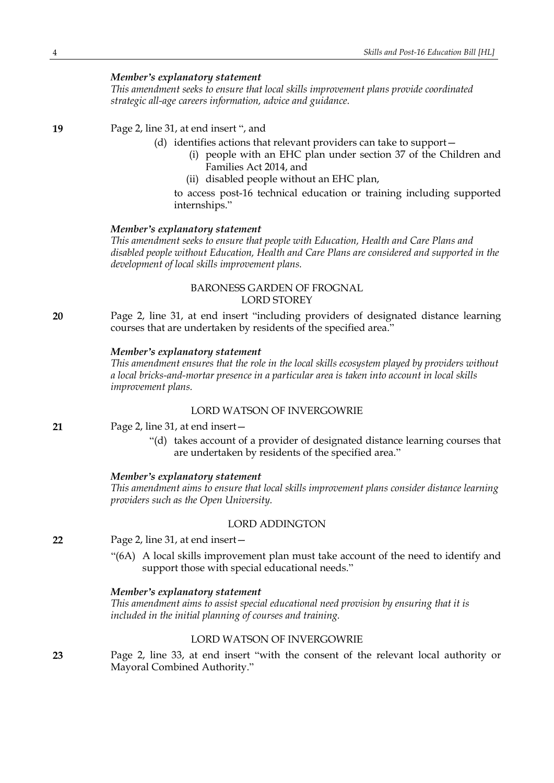*This amendment seeks to ensure that local skills improvement plans provide coordinated strategic all-age careers information, advice and guidance.*

### **19** Page 2, line 31, at end insert ", and

- (d) identifies actions that relevant providers can take to support—
	- (i) people with an EHC plan under section 37 of the Children and Families Act 2014, and
	- (ii) disabled people without an EHC plan,

to access post-16 technical education or training including supported internships."

#### *Member's explanatory statement*

*This amendment seeks to ensure that people with Education, Health and Care Plans and disabled people without Education, Health and Care Plans are considered and supported in the development of local skills improvement plans.*

### BARONESS GARDEN OF FROGNAL LORD STOREY

**20** Page 2, line 31, at end insert "including providers of designated distance learning courses that are undertaken by residents of the specified area."

### *Member's explanatory statement*

*This amendment ensures that the role in the local skills ecosystem played by providers without a local bricks-and-mortar presence in a particular area is taken into account in local skills improvement plans.*

### LORD WATSON OF INVERGOWRIE

- **21** Page 2, line 31, at end insert—
	- "(d) takes account of a provider of designated distance learning courses that are undertaken by residents of the specified area."

#### *Member's explanatory statement*

*This amendment aims to ensure that local skills improvement plans consider distance learning providers such as the Open University.*

### LORD ADDINGTON

**22** Page 2, line 31, at end insert—

"(6A) A local skills improvement plan must take account of the need to identify and support those with special educational needs."

#### *Member's explanatory statement*

*This amendment aims to assist special educational need provision by ensuring that it is included in the initial planning of courses and training.*

### LORD WATSON OF INVERGOWRIE

**23** Page 2, line 33, at end insert "with the consent of the relevant local authority or Mayoral Combined Authority."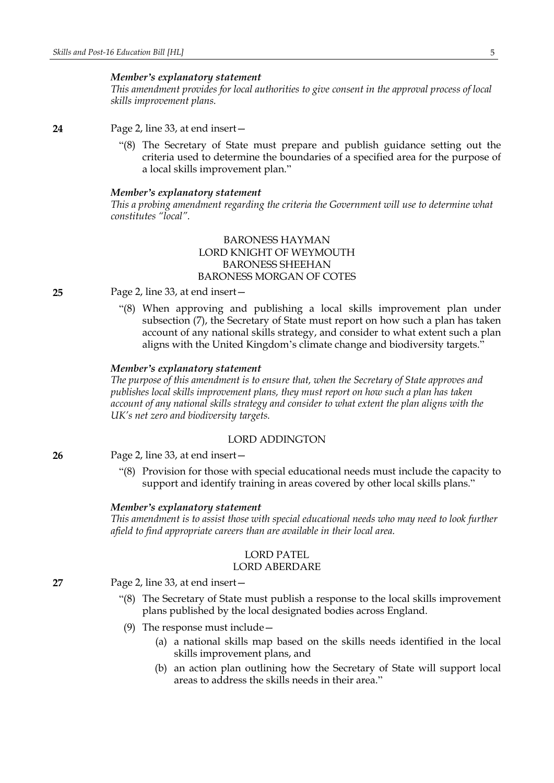*This amendment provides for local authorities to give consent in the approval process of local skills improvement plans.*

**24** Page 2, line 33, at end insert—

"(8) The Secretary of State must prepare and publish guidance setting out the criteria used to determine the boundaries of a specified area for the purpose of a local skills improvement plan."

#### *Member's explanatory statement*

*This a probing amendment regarding the criteria the Government will use to determine what constitutes "local".*

### BARONESS HAYMAN LORD KNIGHT OF WEYMOUTH BARONESS SHEEHAN BARONESS MORGAN OF COTES

- **25** Page 2, line 33, at end insert—
	- "(8) When approving and publishing a local skills improvement plan under subsection (7), the Secretary of State must report on how such a plan has taken account of any national skills strategy, and consider to what extent such a plan aligns with the United Kingdom's climate change and biodiversity targets."

#### *Member's explanatory statement*

*The purpose of this amendment is to ensure that, when the Secretary of State approves and publishes local skills improvement plans, they must report on how such a plan has taken account of any national skills strategy and consider to what extent the plan aligns with the UK's net zero and biodiversity targets.*

### LORD ADDINGTON

**26** Page 2, line 33, at end insert—

"(8) Provision for those with special educational needs must include the capacity to support and identify training in areas covered by other local skills plans."

#### *Member's explanatory statement*

*This amendment is to assist those with special educational needs who may need to look further afield to find appropriate careers than are available in their local area.*

### LORD PATEL

### LORD ABERDARE

**27** Page 2, line 33, at end insert—

- "(8) The Secretary of State must publish a response to the local skills improvement plans published by the local designated bodies across England.
- (9) The response must include—
	- (a) a national skills map based on the skills needs identified in the local skills improvement plans, and
	- (b) an action plan outlining how the Secretary of State will support local areas to address the skills needs in their area."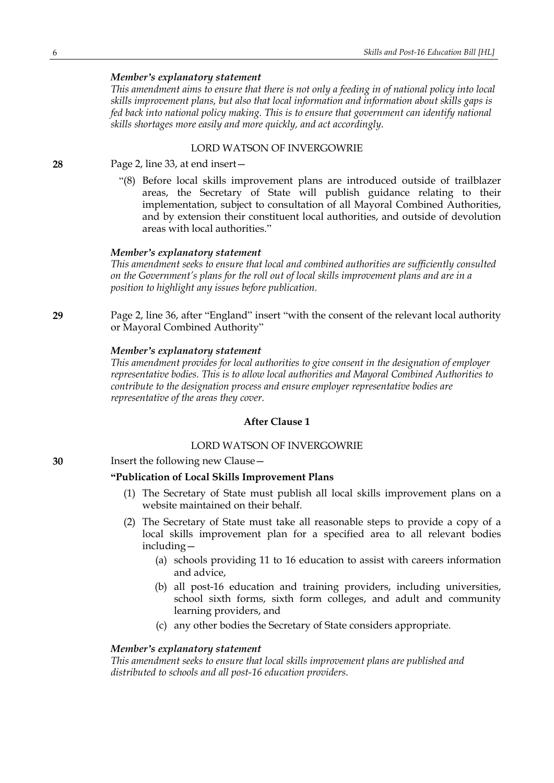*This amendment aims to ensure that there is not only a feeding in of national policy into local skills improvement plans, but also that local information and information about skills gaps is fed back into national policy making. This is to ensure that government can identify national skills shortages more easily and more quickly, and act accordingly.*

### LORD WATSON OF INVERGOWRIE

**28** Page 2, line 33, at end insert—

"(8) Before local skills improvement plans are introduced outside of trailblazer areas, the Secretary of State will publish guidance relating to their implementation, subject to consultation of all Mayoral Combined Authorities, and by extension their constituent local authorities, and outside of devolution areas with local authorities."

### *Member's explanatory statement*

*This amendment seeks to ensure that local and combined authorities are sufficiently consulted on the Government's plans for the roll out of local skills improvement plans and are in a position to highlight any issues before publication.*

**29** Page 2, line 36, after "England" insert "with the consent of the relevant local authority or Mayoral Combined Authority"

### *Member's explanatory statement*

*This amendment provides for local authorities to give consent in the designation of employer representative bodies. This is to allow local authorities and Mayoral Combined Authorities to contribute to the designation process and ensure employer representative bodies are representative of the areas they cover.*

### **After Clause 1**

### LORD WATSON OF INVERGOWRIE

**30** Insert the following new Clause—

### **"Publication of Local Skills Improvement Plans**

- (1) The Secretary of State must publish all local skills improvement plans on a website maintained on their behalf.
- (2) The Secretary of State must take all reasonable steps to provide a copy of a local skills improvement plan for a specified area to all relevant bodies including—
	- (a) schools providing 11 to 16 education to assist with careers information and advice,
	- (b) all post-16 education and training providers, including universities, school sixth forms, sixth form colleges, and adult and community learning providers, and
	- (c) any other bodies the Secretary of State considers appropriate.

### *Member's explanatory statement*

*This amendment seeks to ensure that local skills improvement plans are published and distributed to schools and all post-16 education providers.*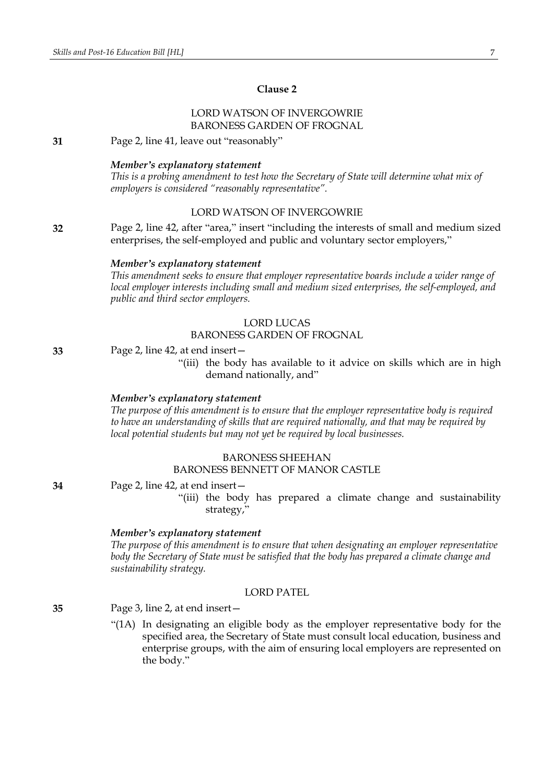### **Clause 2**

### LORD WATSON OF INVERGOWRIE BARONESS GARDEN OF FROGNAL

**31** Page 2, line 41, leave out "reasonably"

#### *Member's explanatory statement*

*This is a probing amendment to test how the Secretary of State will determine what mix of employers is considered "reasonably representative".*

### LORD WATSON OF INVERGOWRIE

**32** Page 2, line 42, after "area," insert "including the interests of small and medium sized enterprises, the self-employed and public and voluntary sector employers,"

#### *Member's explanatory statement*

*This amendment seeks to ensure that employer representative boards include a wider range of local employer interests including small and medium sized enterprises, the self-employed, and public and third sector employers.*

### LORD LUCAS

### BARONESS GARDEN OF FROGNAL

**33** Page 2, line 42, at end insert—

"(iii) the body has available to it advice on skills which are in high demand nationally, and"

#### *Member's explanatory statement*

*The purpose of this amendment is to ensure that the employer representative body is required to have an understanding of skills that are required nationally, and that may be required by local potential students but may not yet be required by local businesses.*

### BARONESS SHEEHAN

#### BARONESS BENNETT OF MANOR CASTLE

**34** Page 2, line 42, at end insert—

"(iii) the body has prepared a climate change and sustainability strategy,"

#### *Member's explanatory statement*

*The purpose of this amendment is to ensure that when designating an employer representative body the Secretary of State must be satisfied that the body has prepared a climate change and sustainability strategy.*

### LORD PATEL

**35** Page 3, line 2, at end insert—

"(1A) In designating an eligible body as the employer representative body for the specified area, the Secretary of State must consult local education, business and enterprise groups, with the aim of ensuring local employers are represented on the body."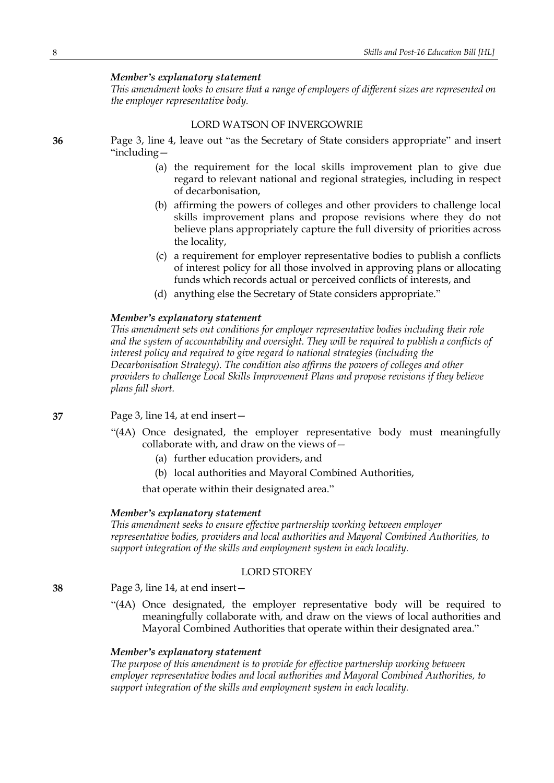*This amendment looks to ensure that a range of employers of different sizes are represented on the employer representative body.*

### LORD WATSON OF INVERGOWRIE

**36** Page 3, line 4, leave out "as the Secretary of State considers appropriate" and insert "including—

- (a) the requirement for the local skills improvement plan to give due regard to relevant national and regional strategies, including in respect of decarbonisation,
- (b) affirming the powers of colleges and other providers to challenge local skills improvement plans and propose revisions where they do not believe plans appropriately capture the full diversity of priorities across the locality,
- (c) a requirement for employer representative bodies to publish a conflicts of interest policy for all those involved in approving plans or allocating funds which records actual or perceived conflicts of interests, and
- (d) anything else the Secretary of State considers appropriate."

### *Member's explanatory statement*

*This amendment sets out conditions for employer representative bodies including their role and the system of accountability and oversight. They will be required to publish a conflicts of interest policy and required to give regard to national strategies (including the Decarbonisation Strategy). The condition also affirms the powers of colleges and other providers to challenge Local Skills Improvement Plans and propose revisions if they believe plans fall short.*

### **37** Page 3, line 14, at end insert—

- "(4A) Once designated, the employer representative body must meaningfully collaborate with, and draw on the views of—
	- (a) further education providers, and
	- (b) local authorities and Mayoral Combined Authorities,

that operate within their designated area."

#### *Member's explanatory statement*

*This amendment seeks to ensure effective partnership working between employer representative bodies, providers and local authorities and Mayoral Combined Authorities, to support integration of the skills and employment system in each locality.*

### LORD STOREY

#### **38** Page 3, line 14, at end insert—

"(4A) Once designated, the employer representative body will be required to meaningfully collaborate with, and draw on the views of local authorities and Mayoral Combined Authorities that operate within their designated area."

### *Member's explanatory statement*

*The purpose of this amendment is to provide for effective partnership working between employer representative bodies and local authorities and Mayoral Combined Authorities, to support integration of the skills and employment system in each locality.*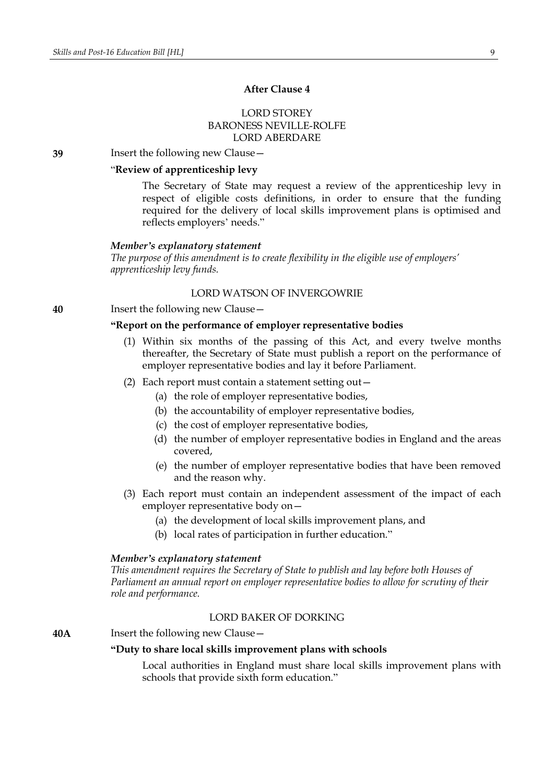### **After Clause 4**

### LORD STOREY BARONESS NEVILLE-ROLFE LORD ABERDARE

**39** Insert the following new Clause—

### "**Review of apprenticeship levy**

The Secretary of State may request a review of the apprenticeship levy in respect of eligible costs definitions, in order to ensure that the funding required for the delivery of local skills improvement plans is optimised and reflects employers' needs."

#### *Member's explanatory statement*

*The purpose of this amendment is to create flexibility in the eligible use of employers' apprenticeship levy funds.*

### LORD WATSON OF INVERGOWRIE

**40** Insert the following new Clause—

### **"Report on the performance of employer representative bodies**

- (1) Within six months of the passing of this Act, and every twelve months thereafter, the Secretary of State must publish a report on the performance of employer representative bodies and lay it before Parliament.
- (2) Each report must contain a statement setting out—
	- (a) the role of employer representative bodies,
	- (b) the accountability of employer representative bodies,
	- (c) the cost of employer representative bodies,
	- (d) the number of employer representative bodies in England and the areas covered,
	- (e) the number of employer representative bodies that have been removed and the reason why.
- (3) Each report must contain an independent assessment of the impact of each employer representative body on—
	- (a) the development of local skills improvement plans, and
	- (b) local rates of participation in further education."

#### *Member's explanatory statement*

*This amendment requires the Secretary of State to publish and lay before both Houses of Parliament an annual report on employer representative bodies to allow for scrutiny of their role and performance.*

### LORD BAKER OF DORKING

#### **40A** Insert the following new Clause—

#### **"Duty to share local skills improvement plans with schools**

Local authorities in England must share local skills improvement plans with schools that provide sixth form education."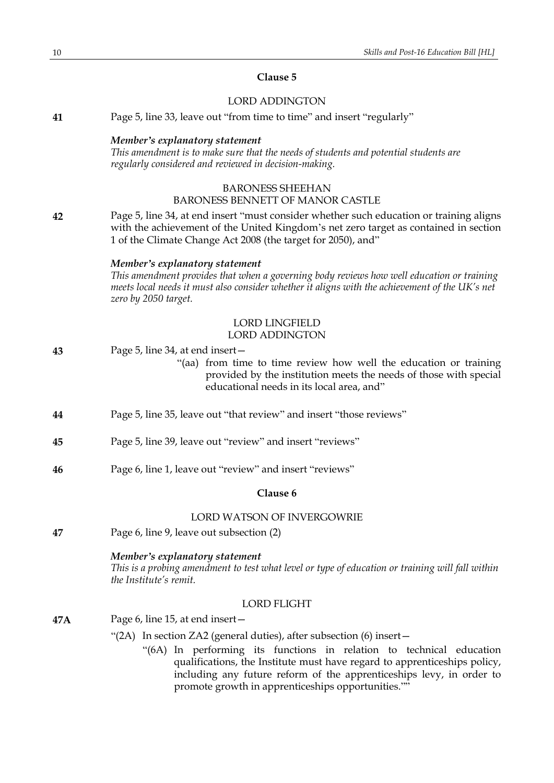### **Clause 5**

### LORD ADDINGTON

| 41  | Page 5, line 33, leave out "from time to time" and insert "regularly"                                                                                                                                                                                                                                                                                   |
|-----|---------------------------------------------------------------------------------------------------------------------------------------------------------------------------------------------------------------------------------------------------------------------------------------------------------------------------------------------------------|
|     | Member's explanatory statement<br>This amendment is to make sure that the needs of students and potential students are<br>regularly considered and reviewed in decision-making.                                                                                                                                                                         |
|     | <b>BARONESS SHEEHAN</b><br><b>BARONESS BENNETT OF MANOR CASTLE</b>                                                                                                                                                                                                                                                                                      |
| 42  | Page 5, line 34, at end insert "must consider whether such education or training aligns<br>with the achievement of the United Kingdom's net zero target as contained in section<br>1 of the Climate Change Act 2008 (the target for 2050), and"                                                                                                         |
|     | Member's explanatory statement<br>This amendment provides that when a governing body reviews how well education or training<br>meets local needs it must also consider whether it aligns with the achievement of the UK's net<br>zero by 2050 target.                                                                                                   |
|     | <b>LORD LINGFIELD</b><br><b>LORD ADDINGTON</b>                                                                                                                                                                                                                                                                                                          |
| 43  | Page 5, line 34, at end insert –<br>"(aa) from time to time review how well the education or training<br>provided by the institution meets the needs of those with special<br>educational needs in its local area, and"                                                                                                                                 |
| 44  | Page 5, line 35, leave out "that review" and insert "those reviews"                                                                                                                                                                                                                                                                                     |
| 45  | Page 5, line 39, leave out "review" and insert "reviews"                                                                                                                                                                                                                                                                                                |
| 46  | Page 6, line 1, leave out "review" and insert "reviews"                                                                                                                                                                                                                                                                                                 |
|     | Clause 6                                                                                                                                                                                                                                                                                                                                                |
|     | LORD WATSON OF INVERGOWRIE                                                                                                                                                                                                                                                                                                                              |
| 47  | Page 6, line 9, leave out subsection (2)                                                                                                                                                                                                                                                                                                                |
|     | Member's explanatory statement<br>This is a probing amendment to test what level or type of education or training will fall within<br>the Institute's remit.                                                                                                                                                                                            |
|     | <b>LORD FLIGHT</b>                                                                                                                                                                                                                                                                                                                                      |
| 47A | Page 6, line 15, at end insert-                                                                                                                                                                                                                                                                                                                         |
|     | "(2A) In section ZA2 (general duties), after subsection (6) insert –<br>"(6A) In performing its functions in relation to technical education<br>qualifications, the Institute must have regard to apprenticeships policy,<br>including any future reform of the apprenticeships levy, in order to<br>promote growth in apprenticeships opportunities."" |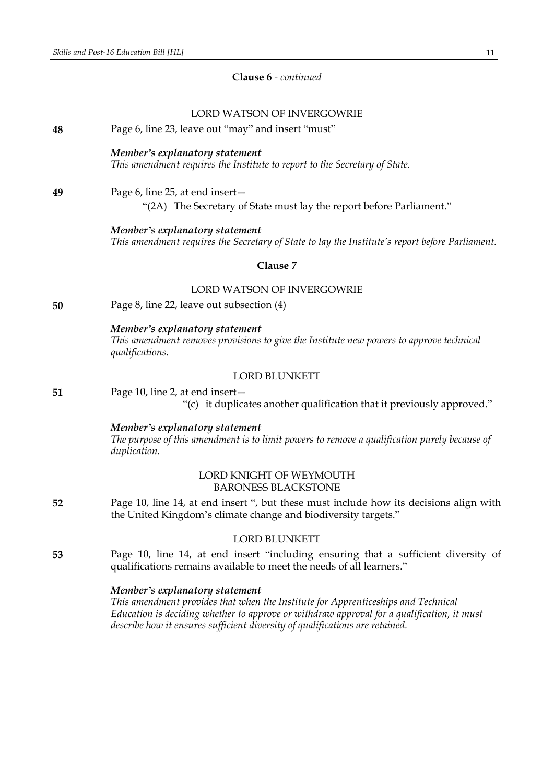### **Clause 6** *- continued*

### LORD WATSON OF INVERGOWRIE

**48** Page 6, line 23, leave out "may" and insert "must"

### *Member's explanatory statement*

*This amendment requires the Institute to report to the Secretary of State.*

### **49** Page 6, line 25, at end insert— "(2A) The Secretary of State must lay the report before Parliament."

*Member's explanatory statement This amendment requires the Secretary of State to lay the Institute's report before Parliament.*

#### **Clause 7**

### LORD WATSON OF INVERGOWRIE

**50** Page 8, line 22, leave out subsection (4)

*Member's explanatory statement This amendment removes provisions to give the Institute new powers to approve technical qualifications.*

### LORD BLUNKETT

**51** Page 10, line 2, at end insert— "(c) it duplicates another qualification that it previously approved."

> *Member's explanatory statement The purpose of this amendment is to limit powers to remove a qualification purely because of duplication.*

### LORD KNIGHT OF WEYMOUTH BARONESS BLACKSTONE

**52** Page 10, line 14, at end insert ", but these must include how its decisions align with the United Kingdom's climate change and biodiversity targets."

### LORD BLUNKETT

**53** Page 10, line 14, at end insert "including ensuring that a sufficient diversity of qualifications remains available to meet the needs of all learners."

### *Member's explanatory statement*

*This amendment provides that when the Institute for Apprenticeships and Technical Education is deciding whether to approve or withdraw approval for a qualification, it must describe how it ensures sufficient diversity of qualifications are retained.*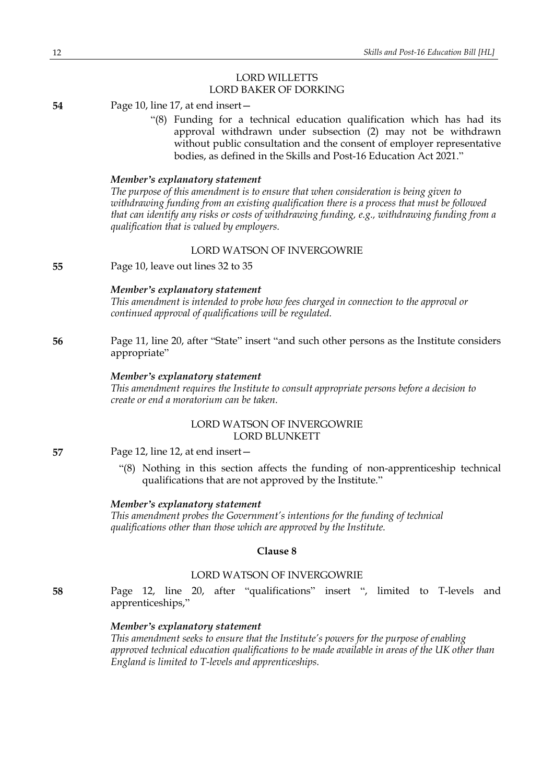### LORD WILLETTS LORD BAKER OF DORKING

**54** Page 10, line 17, at end insert—

"(8) Funding for a technical education qualification which has had its approval withdrawn under subsection (2) may not be withdrawn without public consultation and the consent of employer representative bodies, as defined in the Skills and Post-16 Education Act 2021."

### *Member's explanatory statement*

*The purpose of this amendment is to ensure that when consideration is being given to withdrawing funding from an existing qualification there is a process that must be followed that can identify any risks or costs of withdrawing funding, e.g., withdrawing funding from a qualification that is valued by employers.*

### LORD WATSON OF INVERGOWRIE

**55** Page 10, leave out lines 32 to 35

### *Member's explanatory statement*

*This amendment is intended to probe how fees charged in connection to the approval or continued approval of qualifications will be regulated.*

### **56** Page 11, line 20, after "State" insert "and such other persons as the Institute considers appropriate"

#### *Member's explanatory statement*

*This amendment requires the Institute to consult appropriate persons before a decision to create or end a moratorium can be taken.*

### LORD WATSON OF INVERGOWRIE LORD BLUNKETT

**57** Page 12, line 12, at end insert—

"(8) Nothing in this section affects the funding of non-apprenticeship technical qualifications that are not approved by the Institute."

### *Member's explanatory statement*

*This amendment probes the Government's intentions for the funding of technical qualifications other than those which are approved by the Institute.*

#### **Clause 8**

### LORD WATSON OF INVERGOWRIE

**58** Page 12, line 20, after "qualifications" insert ", limited to T-levels and apprenticeships,"

#### *Member's explanatory statement*

*This amendment seeks to ensure that the Institute's powers for the purpose of enabling approved technical education qualifications to be made available in areas of the UK other than England is limited to T-levels and apprenticeships.*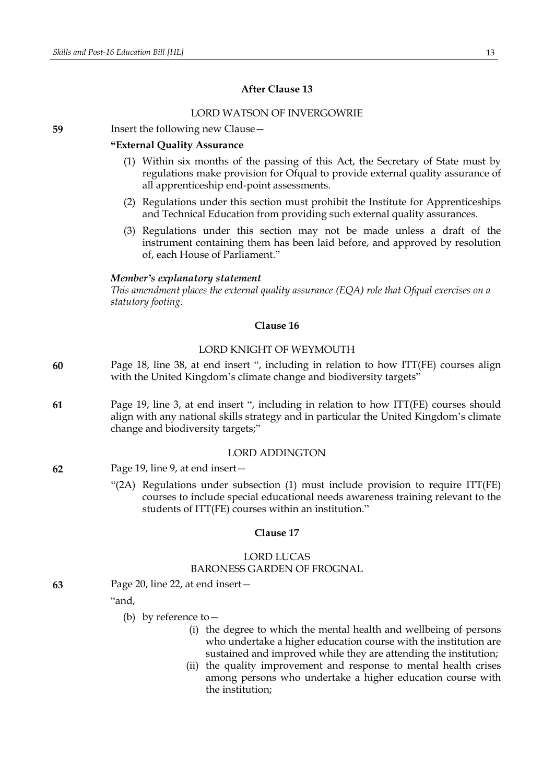### **After Clause 13**

### LORD WATSON OF INVERGOWRIE

**59** Insert the following new Clause—

### **"External Quality Assurance**

- (1) Within six months of the passing of this Act, the Secretary of State must by regulations make provision for Ofqual to provide external quality assurance of all apprenticeship end-point assessments.
- (2) Regulations under this section must prohibit the Institute for Apprenticeships and Technical Education from providing such external quality assurances.
- (3) Regulations under this section may not be made unless a draft of the instrument containing them has been laid before, and approved by resolution of, each House of Parliament."

#### *Member's explanatory statement*

*This amendment places the external quality assurance (EQA) role that Ofqual exercises on a statutory footing.*

### **Clause 16**

#### LORD KNIGHT OF WEYMOUTH

- **60** Page 18, line 38, at end insert ", including in relation to how ITT(FE) courses align with the United Kingdom's climate change and biodiversity targets"
- **61** Page 19, line 3, at end insert ", including in relation to how ITT(FE) courses should align with any national skills strategy and in particular the United Kingdom's climate change and biodiversity targets;"

#### LORD ADDINGTON

- **62** Page 19, line 9, at end insert—
	- "(2A) Regulations under subsection (1) must include provision to require ITT(FE) courses to include special educational needs awareness training relevant to the students of ITT(FE) courses within an institution."

#### **Clause 17**

#### LORD LUCAS

#### BARONESS GARDEN OF FROGNAL

**63** Page 20, line 22, at end insert—

#### "and,

- (b) by reference to—
	- (i) the degree to which the mental health and wellbeing of persons who undertake a higher education course with the institution are sustained and improved while they are attending the institution;
	- (ii) the quality improvement and response to mental health crises among persons who undertake a higher education course with the institution;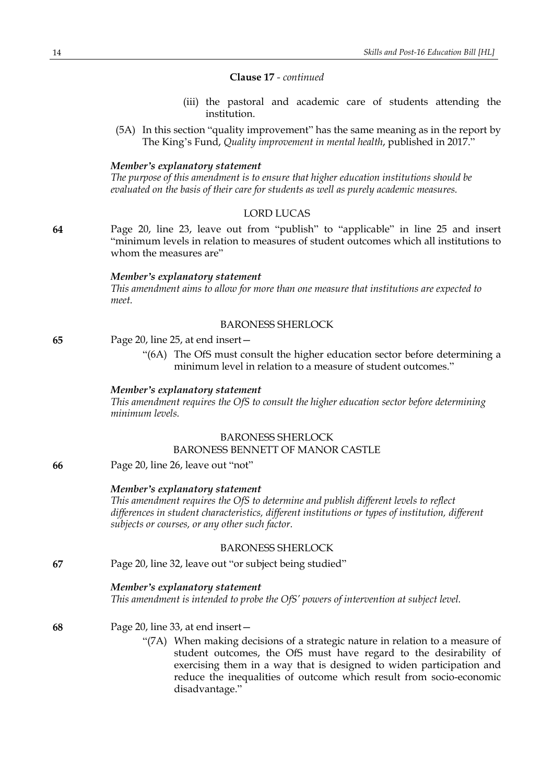### **Clause 17** *- continued*

- (iii) the pastoral and academic care of students attending the institution.
- (5A) In this section "quality improvement" has the same meaning as in the report by The King's Fund, *Quality improvement in mental health*, published in 2017."

#### *Member's explanatory statement*

*The purpose of this amendment is to ensure that higher education institutions should be evaluated on the basis of their care for students as well as purely academic measures.*

#### LORD LUCAS

**64** Page 20, line 23, leave out from "publish" to "applicable" in line 25 and insert "minimum levels in relation to measures of student outcomes which all institutions to whom the measures are"

#### *Member's explanatory statement*

*This amendment aims to allow for more than one measure that institutions are expected to meet.*

#### BARONESS SHERLOCK

| 65 | Page 20, line 25, at end insert - |
|----|-----------------------------------|
|    |                                   |

"(6A) The OfS must consult the higher education sector before determining a minimum level in relation to a measure of student outcomes."

#### *Member's explanatory statement*

*This amendment requires the OfS to consult the higher education sector before determining minimum levels.*

#### BARONESS SHERLOCK BARONESS BENNETT OF MANOR CASTLE

**66** Page 20, line 26, leave out "not"

#### *Member's explanatory statement*

*This amendment requires the OfS to determine and publish different levels to reflect differences in student characteristics, different institutions or types of institution, different subjects or courses, or any other such factor.*

### BARONESS SHERLOCK

**67** Page 20, line 32, leave out "or subject being studied"

### *Member's explanatory statement*

*This amendment is intended to probe the OfS' powers of intervention at subject level.*

### **68** Page 20, line 33, at end insert—

"(7A) When making decisions of a strategic nature in relation to a measure of student outcomes, the OfS must have regard to the desirability of exercising them in a way that is designed to widen participation and reduce the inequalities of outcome which result from socio-economic disadvantage."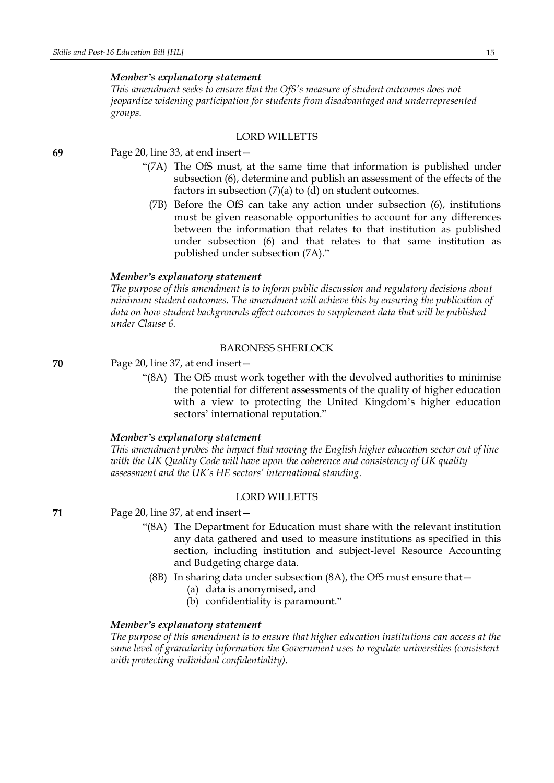*This amendment seeks to ensure that the OfS's measure of student outcomes does not jeopardize widening participation for students from disadvantaged and underrepresented groups.*

### LORD WILLETTS

**69** Page 20, line 33, at end insert—

- "(7A) The OfS must, at the same time that information is published under subsection (6), determine and publish an assessment of the effects of the factors in subsection (7)(a) to (d) on student outcomes.
	- (7B) Before the OfS can take any action under subsection (6), institutions must be given reasonable opportunities to account for any differences between the information that relates to that institution as published under subsection (6) and that relates to that same institution as published under subsection (7A)."

### *Member's explanatory statement*

*The purpose of this amendment is to inform public discussion and regulatory decisions about minimum student outcomes. The amendment will achieve this by ensuring the publication of data on how student backgrounds affect outcomes to supplement data that will be published under Clause 6.*

### BARONESS SHERLOCK

**70** Page 20, line 37, at end insert—

"(8A) The OfS must work together with the devolved authorities to minimise the potential for different assessments of the quality of higher education with a view to protecting the United Kingdom's higher education sectors' international reputation."

#### *Member's explanatory statement*

*This amendment probes the impact that moving the English higher education sector out of line with the UK Quality Code will have upon the coherence and consistency of UK quality assessment and the UK's HE sectors' international standing.*

### LORD WILLETTS

**71** Page 20, line 37, at end insert—

- "(8A) The Department for Education must share with the relevant institution any data gathered and used to measure institutions as specified in this section, including institution and subject-level Resource Accounting and Budgeting charge data.
- (8B) In sharing data under subsection (8A), the OfS must ensure that—
	- (a) data is anonymised, and
	- (b) confidentiality is paramount."

### *Member's explanatory statement*

*The purpose of this amendment is to ensure that higher education institutions can access at the same level of granularity information the Government uses to regulate universities (consistent with protecting individual confidentiality).*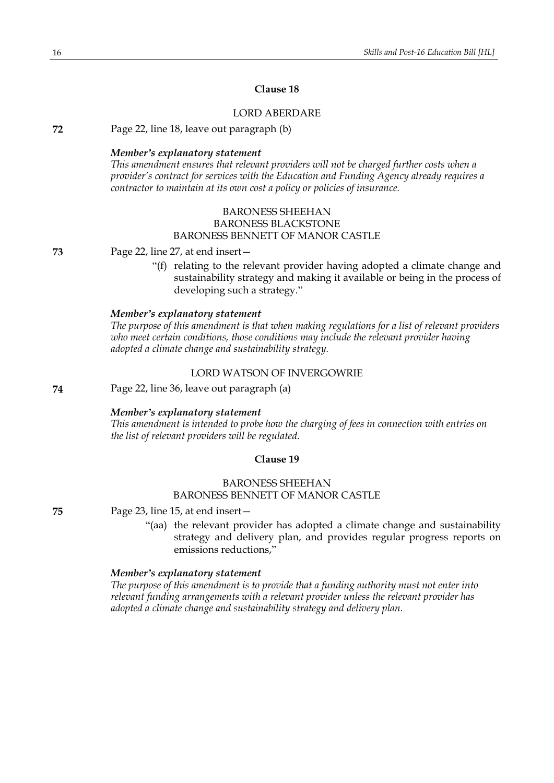### **Clause 18**

### LORD ABERDARE

**72** Page 22, line 18, leave out paragraph (b)

### *Member's explanatory statement*

*This amendment ensures that relevant providers will not be charged further costs when a provider's contract for services with the Education and Funding Agency already requires a contractor to maintain at its own cost a policy or policies of insurance.*

### BARONESS SHEEHAN BARONESS BLACKSTONE BARONESS BENNETT OF MANOR CASTLE

**73** Page 22, line 27, at end insert—

"(f) relating to the relevant provider having adopted a climate change and sustainability strategy and making it available or being in the process of developing such a strategy."

### *Member's explanatory statement*

*The purpose of this amendment is that when making regulations for a list of relevant providers who meet certain conditions, those conditions may include the relevant provider having adopted a climate change and sustainability strategy.*

### LORD WATSON OF INVERGOWRIE

**74** Page 22, line 36, leave out paragraph (a)

#### *Member's explanatory statement*

*This amendment is intended to probe how the charging of fees in connection with entries on the list of relevant providers will be regulated.*

#### **Clause 19**

### BARONESS SHEEHAN BARONESS BENNETT OF MANOR CASTLE

**75** Page 23, line 15, at end insert—

"(aa) the relevant provider has adopted a climate change and sustainability strategy and delivery plan, and provides regular progress reports on emissions reductions,"

#### *Member's explanatory statement*

*The purpose of this amendment is to provide that a funding authority must not enter into relevant funding arrangements with a relevant provider unless the relevant provider has adopted a climate change and sustainability strategy and delivery plan.*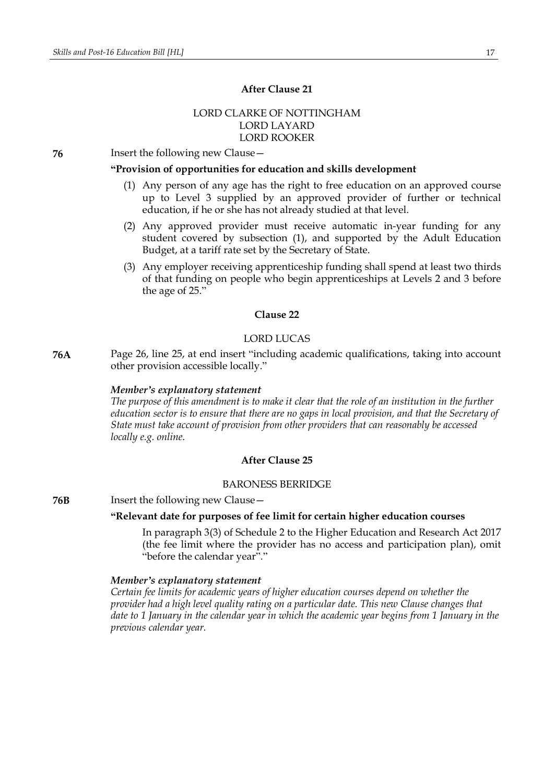### **After Clause 21**

### LORD CLARKE OF NOTTINGHAM LORD LAYARD LORD ROOKER

**76** Insert the following new Clause—

### **"Provision of opportunities for education and skills development**

- (1) Any person of any age has the right to free education on an approved course up to Level 3 supplied by an approved provider of further or technical education, if he or she has not already studied at that level.
- (2) Any approved provider must receive automatic in-year funding for any student covered by subsection (1), and supported by the Adult Education Budget, at a tariff rate set by the Secretary of State.
- (3) Any employer receiving apprenticeship funding shall spend at least two thirds of that funding on people who begin apprenticeships at Levels 2 and 3 before the age of 25."

### **Clause 22**

#### LORD LUCAS

**76A** Page 26, line 25, at end insert "including academic qualifications, taking into account other provision accessible locally."

### *Member's explanatory statement*

The purpose of this amendment is to make it clear that the role of an institution in the further *education sector is to ensure that there are no gaps in local provision, and that the Secretary of State must take account of provision from other providers that can reasonably be accessed locally e.g. online.*

### **After Clause 25**

### BARONESS BERRIDGE

#### **76B** Insert the following new Clause -

### **"Relevant date for purposes of fee limit for certain higher education courses**

In paragraph 3(3) of Schedule 2 to the Higher Education and Research Act 2017 (the fee limit where the provider has no access and participation plan), omit "before the calendar year"."

#### *Member's explanatory statement*

*Certain fee limits for academic years of higher education courses depend on whether the provider had a high level quality rating on a particular date. This new Clause changes that* date to 1 January in the calendar year in which the academic year begins from 1 January in the *previous calendar year.*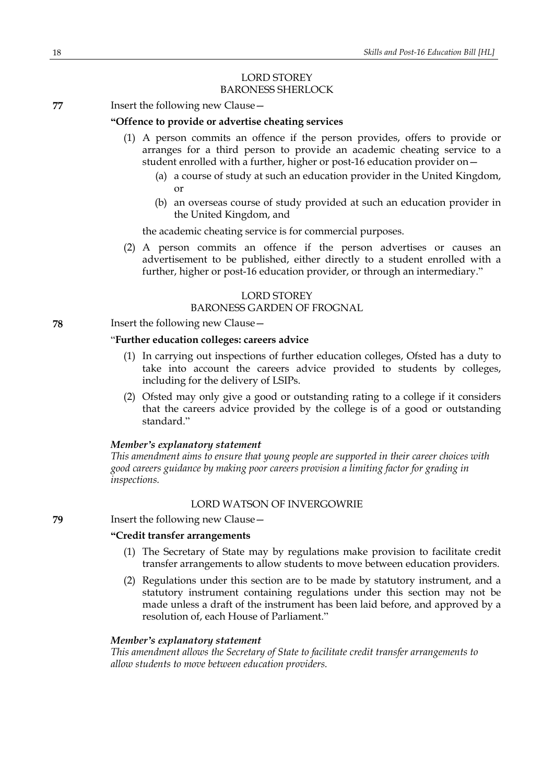### LORD STOREY BARONESS SHERLOCK

**77** Insert the following new Clause—

### **"Offence to provide or advertise cheating services**

- (1) A person commits an offence if the person provides, offers to provide or arranges for a third person to provide an academic cheating service to a student enrolled with a further, higher or post-16 education provider on—
	- (a) a course of study at such an education provider in the United Kingdom, or
	- (b) an overseas course of study provided at such an education provider in the United Kingdom, and

the academic cheating service is for commercial purposes.

(2) A person commits an offence if the person advertises or causes an advertisement to be published, either directly to a student enrolled with a further, higher or post-16 education provider, or through an intermediary."

### LORD STOREY

#### BARONESS GARDEN OF FROGNAL

### **78** Insert the following new Clause—

### "**Further education colleges: careers advice**

- (1) In carrying out inspections of further education colleges, Ofsted has a duty to take into account the careers advice provided to students by colleges, including for the delivery of LSIPs.
- (2) Ofsted may only give a good or outstanding rating to a college if it considers that the careers advice provided by the college is of a good or outstanding standard."

### *Member's explanatory statement*

*This amendment aims to ensure that young people are supported in their career choices with good careers guidance by making poor careers provision a limiting factor for grading in inspections.*

### LORD WATSON OF INVERGOWRIE

#### **79** Insert the following new Clause—

### **"Credit transfer arrangements**

- (1) The Secretary of State may by regulations make provision to facilitate credit transfer arrangements to allow students to move between education providers.
- (2) Regulations under this section are to be made by statutory instrument, and a statutory instrument containing regulations under this section may not be made unless a draft of the instrument has been laid before, and approved by a resolution of, each House of Parliament."

### *Member's explanatory statement*

*This amendment allows the Secretary of State to facilitate credit transfer arrangements to allow students to move between education providers.*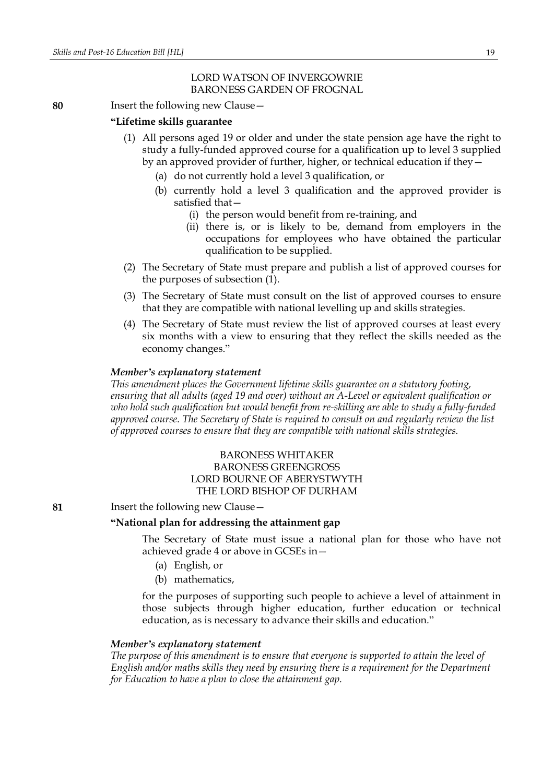### LORD WATSON OF INVERGOWRIE BARONESS GARDEN OF FROGNAL

### **80** Insert the following new Clause—

### **"Lifetime skills guarantee**

- (1) All persons aged 19 or older and under the state pension age have the right to study a fully-funded approved course for a qualification up to level 3 supplied by an approved provider of further, higher, or technical education if they—
	- (a) do not currently hold a level 3 qualification, or
	- (b) currently hold a level 3 qualification and the approved provider is satisfied that—
		- (i) the person would benefit from re-training, and
		- (ii) there is, or is likely to be, demand from employers in the occupations for employees who have obtained the particular qualification to be supplied.
- (2) The Secretary of State must prepare and publish a list of approved courses for the purposes of subsection (1).
- (3) The Secretary of State must consult on the list of approved courses to ensure that they are compatible with national levelling up and skills strategies.
- (4) The Secretary of State must review the list of approved courses at least every six months with a view to ensuring that they reflect the skills needed as the economy changes."

### *Member's explanatory statement*

*This amendment places the Government lifetime skills guarantee on a statutory footing, ensuring that all adults (aged 19 and over) without an A-Level or equivalent qualification or who hold such qualification but would benefit from re-skilling are able to study a fully-funded approved course. The Secretary of State is required to consult on and regularly review the list of approved courses to ensure that they are compatible with national skills strategies.*

### BARONESS WHITAKER BARONESS GREENGROSS LORD BOURNE OF ABERYSTWYTH THE LORD BISHOP OF DURHAM

### **81** Insert the following new Clause—

### **"National plan for addressing the attainment gap**

The Secretary of State must issue a national plan for those who have not achieved grade 4 or above in GCSEs in—

- (a) English, or
- (b) mathematics,

for the purposes of supporting such people to achieve a level of attainment in those subjects through higher education, further education or technical education, as is necessary to advance their skills and education."

#### *Member's explanatory statement*

*The purpose of this amendment is to ensure that everyone is supported to attain the level of English and/or maths skills they need by ensuring there is a requirement for the Department for Education to have a plan to close the attainment gap.*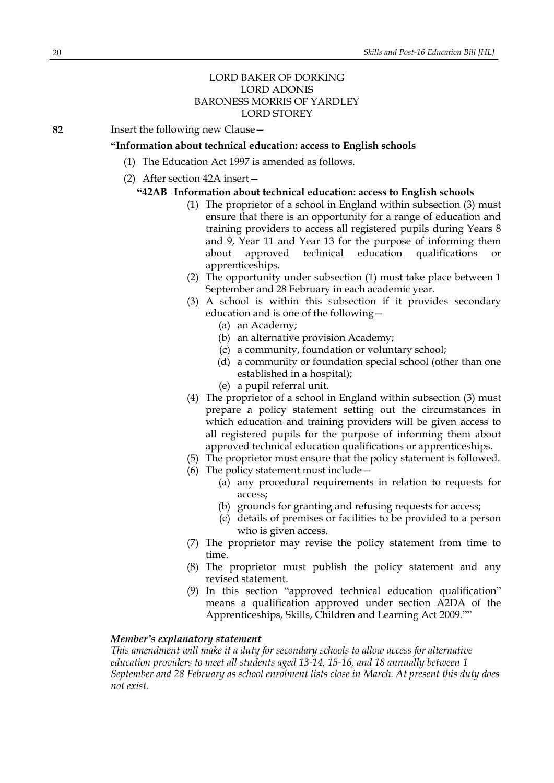### LORD BAKER OF DORKING LORD ADONIS BARONESS MORRIS OF YARDLEY LORD STOREY

**82** Insert the following new Clause—

#### **"Information about technical education: access to English schools**

- (1) The Education Act 1997 is amended as follows.
- (2) After section 42A insert—

#### **"42AB Information about technical education: access to English schools**

- (1) The proprietor of a school in England within subsection (3) must ensure that there is an opportunity for a range of education and training providers to access all registered pupils during Years 8 and 9, Year 11 and Year 13 for the purpose of informing them about approved technical education qualifications or apprenticeships.
- (2) The opportunity under subsection (1) must take place between 1 September and 28 February in each academic year.
- (3) A school is within this subsection if it provides secondary education and is one of the following—
	- (a) an Academy;
	- (b) an alternative provision Academy;
	- (c) a community, foundation or voluntary school;
	- (d) a community or foundation special school (other than one established in a hospital);
	- (e) a pupil referral unit.
- (4) The proprietor of a school in England within subsection (3) must prepare a policy statement setting out the circumstances in which education and training providers will be given access to all registered pupils for the purpose of informing them about approved technical education qualifications or apprenticeships.
- (5) The proprietor must ensure that the policy statement is followed.
- (6) The policy statement must include—
	- (a) any procedural requirements in relation to requests for access;
	- (b) grounds for granting and refusing requests for access;
	- (c) details of premises or facilities to be provided to a person who is given access.
- (7) The proprietor may revise the policy statement from time to time.
- (8) The proprietor must publish the policy statement and any revised statement.
- (9) In this section "approved technical education qualification" means a qualification approved under section A2DA of the Apprenticeships, Skills, Children and Learning Act 2009.""

#### *Member's explanatory statement*

*This amendment will make it a duty for secondary schools to allow access for alternative education providers to meet all students aged 13-14, 15-16, and 18 annually between 1 September and 28 February as school enrolment lists close in March. At present this duty does not exist.*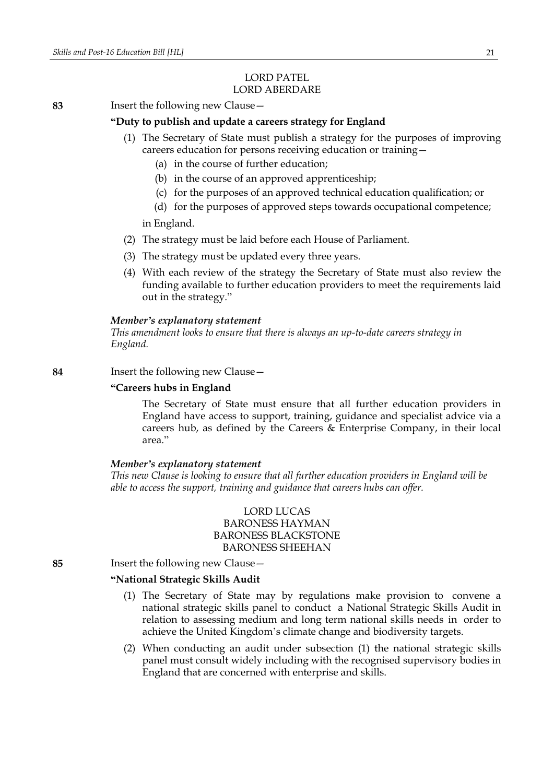#### LORD PATEL LORD ABERDARE

### **83** Insert the following new Clause—

### **"Duty to publish and update a careers strategy for England**

- (1) The Secretary of State must publish a strategy for the purposes of improving careers education for persons receiving education or training—
	- (a) in the course of further education;
	- (b) in the course of an approved apprenticeship;
	- (c) for the purposes of an approved technical education qualification; or
	- (d) for the purposes of approved steps towards occupational competence;

in England.

- (2) The strategy must be laid before each House of Parliament.
- (3) The strategy must be updated every three years.
- (4) With each review of the strategy the Secretary of State must also review the funding available to further education providers to meet the requirements laid out in the strategy."

#### *Member's explanatory statement*

*This amendment looks to ensure that there is always an up-to-date careers strategy in England.*

### **84** Insert the following new Clause—

#### **"Careers hubs in England**

The Secretary of State must ensure that all further education providers in England have access to support, training, guidance and specialist advice via a careers hub, as defined by the Careers & Enterprise Company, in their local area."

#### *Member's explanatory statement*

*This new Clause is looking to ensure that all further education providers in England will be able to access the support, training and guidance that careers hubs can offer.*

### LORD LUCAS BARONESS HAYMAN BARONESS BLACKSTONE BARONESS SHEEHAN

**85** Insert the following new Clause—

### **"National Strategic Skills Audit?**

- (1) The Secretary of State may by regulations make provision to convene a national strategic skills panel to conduct a National Strategic Skills Audit in relation to assessing medium and long term national skills needs in order to achieve the United Kingdom's climate change and biodiversity targets.
- (2) When conducting an audit under subsection (1) the national strategic skills panel must consult widely including with the recognised supervisory bodies in England that are concerned with enterprise and skills.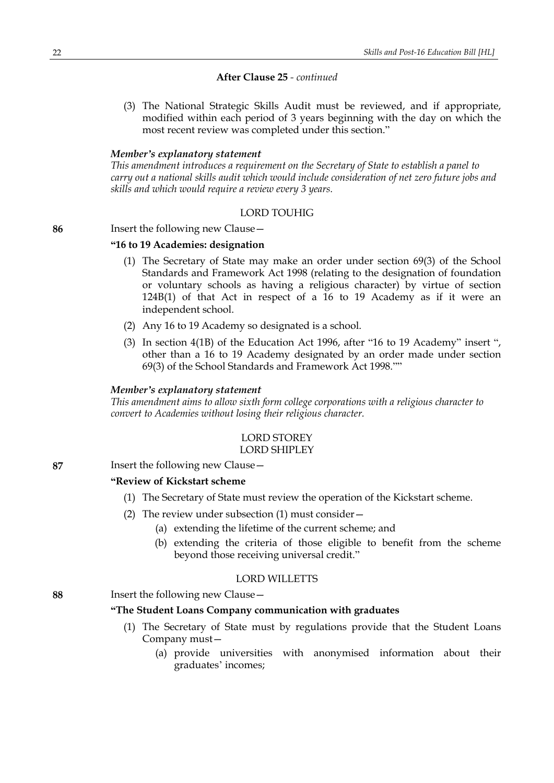### **After Clause 25** *- continued*

(3) The National Strategic Skills Audit must be reviewed, and if appropriate, modified within each period of 3 years beginning with the day on which the most recent review was completed under this section."

### *Member's explanatory statement*

*This amendment introduces a requirement on the Secretary of State to establish a panel to carry out a national skills audit which would include consideration of net zero future jobs and skills and which would require a review every 3 years.*

### LORD TOUHIG

#### **86** Insert the following new Clause—

### **"16 to 19 Academies: designation**

- (1) The Secretary of State may make an order under section 69(3) of the School Standards and Framework Act 1998 (relating to the designation of foundation or voluntary schools as having a religious character) by virtue of section 124B(1) of that Act in respect of a 16 to 19 Academy as if it were an independent school.
- (2) Any 16 to 19 Academy so designated is a school.
- (3) In section 4(1B) of the Education Act 1996, after "16 to 19 Academy" insert ", other than a 16 to 19 Academy designated by an order made under section 69(3) of the School Standards and Framework Act 1998.""

### *Member's explanatory statement*

*This amendment aims to allow sixth form college corporations with a religious character to convert to Academies without losing their religious character.*

#### LORD STOREY LORD SHIPLEY

### **87** Insert the following new Clause—

#### **"Review of Kickstart scheme**

- (1) The Secretary of State must review the operation of the Kickstart scheme.
- (2) The review under subsection (1) must consider—
	- (a) extending the lifetime of the current scheme; and
	- (b) extending the criteria of those eligible to benefit from the scheme beyond those receiving universal credit."

### LORD WILLETTS

### **88** Insert the following new Clause—

### **"The Student Loans Company communication with graduates**

- (1) The Secretary of State must by regulations provide that the Student Loans Company must—
	- (a) provide universities with anonymised information about their graduates' incomes;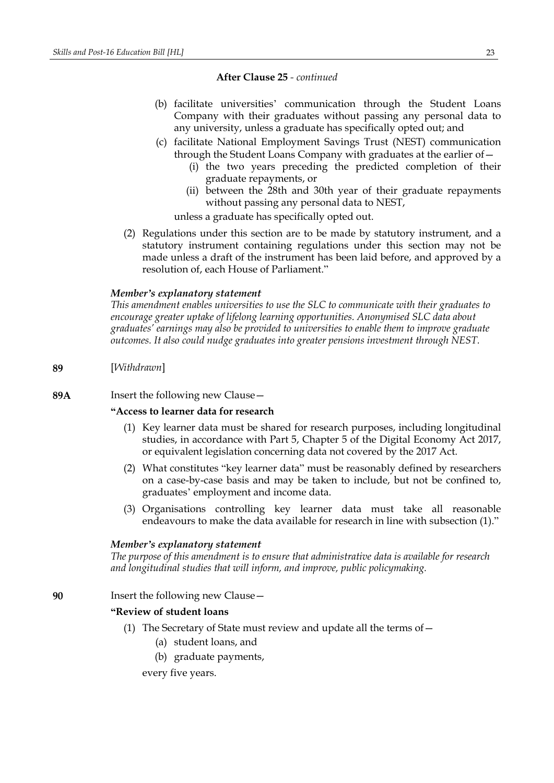#### **After Clause 25** *- continued*

- (b) facilitate universities' communication through the Student Loans Company with their graduates without passing any personal data to any university, unless a graduate has specifically opted out; and
- (c) facilitate National Employment Savings Trust (NEST) communication through the Student Loans Company with graduates at the earlier of—
	- (i) the two years preceding the predicted completion of their graduate repayments, or
	- (ii) between the 28th and 30th year of their graduate repayments without passing any personal data to NEST,

unless a graduate has specifically opted out.

(2) Regulations under this section are to be made by statutory instrument, and a statutory instrument containing regulations under this section may not be made unless a draft of the instrument has been laid before, and approved by a resolution of, each House of Parliament."

#### *Member's explanatory statement*

*This amendment enables universities to use the SLC to communicate with their graduates to encourage greater uptake of lifelong learning opportunities. Anonymised SLC data about graduates' earnings may also be provided to universities to enable them to improve graduate outcomes. It also could nudge graduates into greater pensions investment through NEST.*

#### **89** [*Withdrawn*]

**89A** Insert the following new Clause—

### **"Access to learner data for research**

- (1) Key learner data must be shared for research purposes, including longitudinal studies, in accordance with Part 5, Chapter 5 of the Digital Economy Act 2017, or equivalent legislation concerning data not covered by the 2017 Act.
- (2) What constitutes "key learner data" must be reasonably defined by researchers on a case-by-case basis and may be taken to include, but not be confined to, graduates' employment and income data.
- (3) Organisations controlling key learner data must take all reasonable endeavours to make the data available for research in line with subsection (1)."

#### *Member's explanatory statement*

*The purpose of this amendment is to ensure that administrative data is available for research and longitudinal studies that will inform, and improve, public policymaking.*

### **90** Insert the following new Clause—

#### **"Review of student loans**

- (1) The Secretary of State must review and update all the terms of—
	- (a) student loans, and
	- (b) graduate payments,

every five years.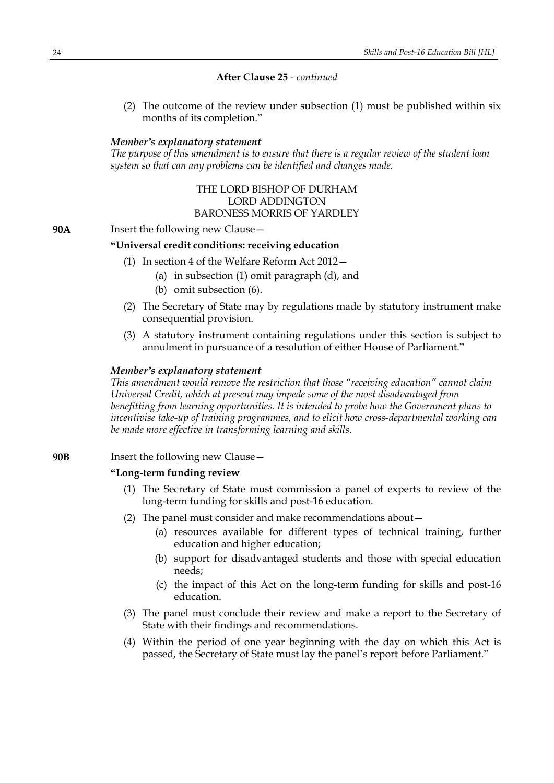### **After Clause 25** *- continued*

(2) The outcome of the review under subsection (1) must be published within six months of its completion."

### *Member's explanatory statement*

*The purpose of this amendment is to ensure that there is a regular review of the student loan system so that can any problems can be identified and changes made.*

### THE LORD BISHOP OF DURHAM LORD ADDINGTON BARONESS MORRIS OF YARDLEY

#### **90A** Insert the following new Clause—

### **"Universal credit conditions: receiving education**

- (1) In section 4 of the Welfare Reform Act 2012—
	- (a) in subsection (1) omit paragraph (d), and
	- (b) omit subsection (6).
- (2) The Secretary of State may by regulations made by statutory instrument make consequential provision.
- (3) A statutory instrument containing regulations under this section is subject to annulment in pursuance of a resolution of either House of Parliament."

### *Member's explanatory statement*

*This amendment would remove the restriction that those "receiving education" cannot claim Universal Credit, which at present may impede some of the most disadvantaged from benefitting from learning opportunities. It is intended to probe how the Government plans to incentivise take-up of training programmes, and to elicit how cross-departmental working can be made more effective in transforming learning and skills.*

#### **90B** Insert the following new Clause—

### **"Long-term funding review**

- (1) The Secretary of State must commission a panel of experts to review of the long-term funding for skills and post-16 education.
- (2) The panel must consider and make recommendations about—
	- (a) resources available for different types of technical training, further education and higher education;
	- (b) support for disadvantaged students and those with special education needs;
	- (c) the impact of this Act on the long-term funding for skills and post-16 education.
- (3) The panel must conclude their review and make a report to the Secretary of State with their findings and recommendations.
- (4) Within the period of one year beginning with the day on which this Act is passed, the Secretary of State must lay the panel's report before Parliament."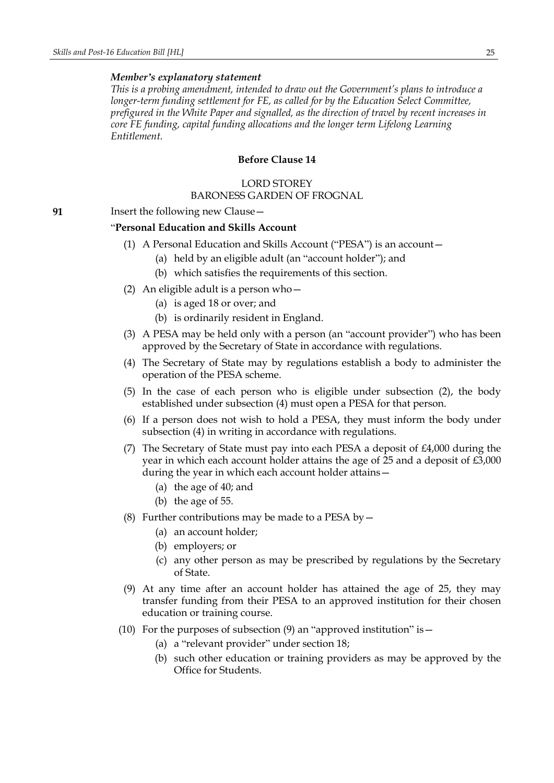*This is a probing amendment, intended to draw out the Government's plans to introduce a longer-term funding settlement for FE, as called for by the Education Select Committee, prefigured in the White Paper and signalled, as the direction of travel by recent increases in core FE funding, capital funding allocations and the longer term Lifelong Learning Entitlement.*

### **Before Clause 14**

#### LORD STOREY

### BARONESS GARDEN OF FROGNAL

**91** Insert the following new Clause—

### "**Personal Education and Skills Account**

- (1) A Personal Education and Skills Account ("PESA") is an account—
	- (a) held by an eligible adult (an "account holder"); and
	- (b) which satisfies the requirements of this section.
- (2) An eligible adult is a person who—
	- (a) is aged 18 or over; and
	- (b) is ordinarily resident in England.
- (3) A PESA may be held only with a person (an "account provider") who has been approved by the Secretary of State in accordance with regulations.
- (4) The Secretary of State may by regulations establish a body to administer the operation of the PESA scheme.
- (5) In the case of each person who is eligible under subsection (2), the body established under subsection (4) must open a PESA for that person.
- (6) If a person does not wish to hold a PESA, they must inform the body under subsection (4) in writing in accordance with regulations.
- (7) The Secretary of State must pay into each PESA a deposit of  $\text{\pounds}4,000$  during the year in which each account holder attains the age of 25 and a deposit of £3,000 during the year in which each account holder attains—
	- (a) the age of 40; and
	- (b) the age of 55.
- (8) Further contributions may be made to a PESA by  $-$ 
	- (a) an account holder;
	- (b) employers; or
	- (c) any other person as may be prescribed by regulations by the Secretary of State.
- (9) At any time after an account holder has attained the age of 25, they may transfer funding from their PESA to an approved institution for their chosen education or training course.
- (10) For the purposes of subsection  $(9)$  an "approved institution" is  $-$ 
	- (a) a "relevant provider" under section 18;
	- (b) such other education or training providers as may be approved by the Office for Students.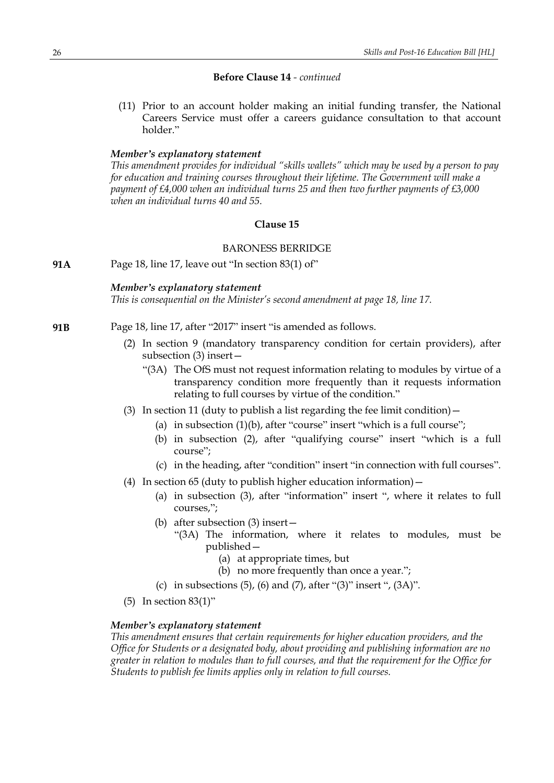### **Before Clause 14** *- continued*

(11) Prior to an account holder making an initial funding transfer, the National Careers Service must offer a careers guidance consultation to that account holder."

#### *Member's explanatory statement*

*This amendment provides for individual "skills wallets" which may be used by a person to pay for education and training courses throughout their lifetime. The Government will make a payment of £4,000 when an individual turns 25 and then two further payments of £3,000 when an individual turns 40 and 55.*

### **Clause 15**

### BARONESS BERRIDGE

**91A** Page 18, line 17, leave out "In section 83(1) of"

#### *Member's explanatory statement*

*This is consequential on the Minister's second amendment at page 18, line 17.*

- **91B** Page 18, line 17, after "2017" insert "is amended as follows.
	- (2) In section 9 (mandatory transparency condition for certain providers), after subsection (3) insert—
		- "(3A) The OfS must not request information relating to modules by virtue of a transparency condition more frequently than it requests information relating to full courses by virtue of the condition."
	- (3) In section 11 (duty to publish a list regarding the fee limit condition)  $-$ 
		- (a) in subsection  $(1)(b)$ , after "course" insert "which is a full course";
		- (b) in subsection (2), after "qualifying course" insert "which is a full course";
		- (c) in the heading, after "condition" insert "in connection with full courses".
	- (4) In section 65 (duty to publish higher education information)—
		- (a) in subsection (3), after "information" insert ", where it relates to full courses,";
		- (b) after subsection (3) insert—
			- "(3A) The information, where it relates to modules, must be published—
				- (a) at appropriate times, but
				- (b) no more frequently than once a year.";
		- (c) in subsections  $(5)$ ,  $(6)$  and  $(7)$ , after " $(3)$ " insert ",  $(3A)$ ".
	- (5) In section 83(1)"

### *Member's explanatory statement*

*This amendment ensures that certain requirements for higher education providers, and the Office for Students or a designated body, about providing and publishing information are no greater in relation to modules than to full courses, and that the requirement for the Office for Students to publish fee limits applies only in relation to full courses.*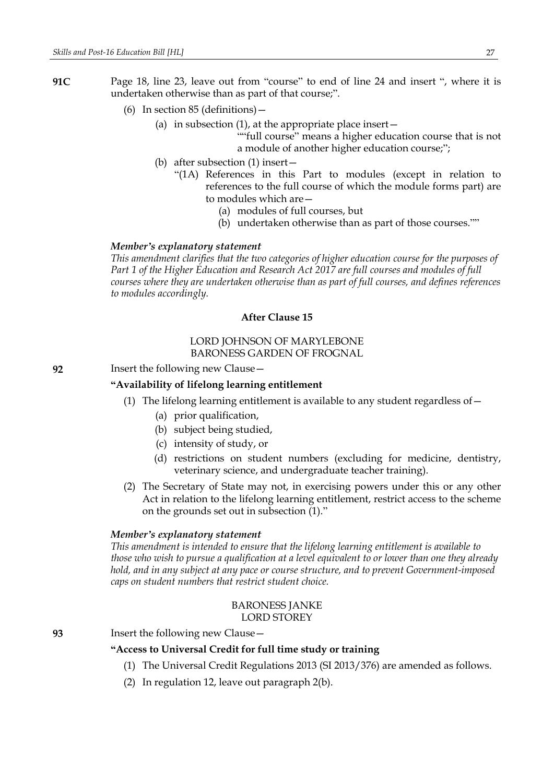- **91C** Page 18, line 23, leave out from "course" to end of line 24 and insert ", where it is undertaken otherwise than as part of that course;".
	- (6) In section 85 (definitions)—
		- (a) in subsection  $(1)$ , at the appropriate place insert  $-$

""full course" means a higher education course that is not a module of another higher education course;";

- (b) after subsection (1) insert—
	- "(1A) References in this Part to modules (except in relation to references to the full course of which the module forms part) are to modules which are—
		- (a) modules of full courses, but
		- (b) undertaken otherwise than as part of those courses.""

#### *Member's explanatory statement*

*This amendment clarifies that the two categories of higher education course for the purposes of Part 1 of the Higher Education and Research Act 2017 are full courses and modules of full courses where they are undertaken otherwise than as part of full courses, and defines references to modules accordingly.*

### **After Clause 15**

### LORD JOHNSON OF MARYLEBONE BARONESS GARDEN OF FROGNAL

**92** Insert the following new Clause—

### **"Availability of lifelong learning entitlement**

- (1) The lifelong learning entitlement is available to any student regardless of—
	- (a) prior qualification,
	- (b) subject being studied,
	- (c) intensity of study, or
	- (d) restrictions on student numbers (excluding for medicine, dentistry, veterinary science, and undergraduate teacher training).
- (2) The Secretary of State may not, in exercising powers under this or any other Act in relation to the lifelong learning entitlement, restrict access to the scheme on the grounds set out in subsection (1)."

### *Member's explanatory statement*

*This amendment is intended to ensure that the lifelong learning entitlement is available to those who wish to pursue a qualification at a level equivalent to or lower than one they already hold, and in any subject at any pace or course structure, and to prevent Government-imposed caps on student numbers that restrict student choice.*

### BARONESS JANKE LORD STOREY

**93** Insert the following new Clause—

### **"Access to Universal Credit for full time study or training**

- (1) The Universal Credit Regulations 2013 (SI 2013/376) are amended as follows.
- (2) In regulation 12, leave out paragraph 2(b).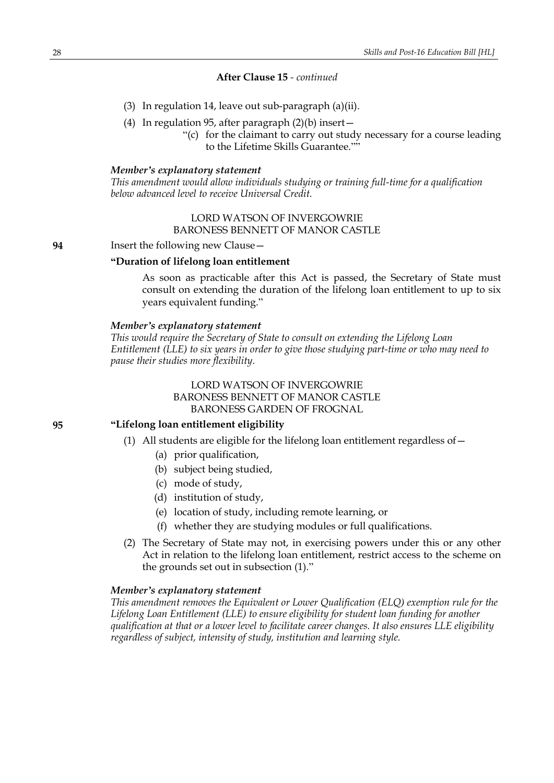### **After Clause 15** *- continued*

- (3) In regulation 14, leave out sub-paragraph (a)(ii).
- (4) In regulation 95, after paragraph (2)(b) insert—
	- "(c) for the claimant to carry out study necessary for a course leading to the Lifetime Skills Guarantee.""

#### *Member's explanatory statement*

*This amendment would allow individuals studying or training full-time for a qualification below advanced level to receive Universal Credit.*

> LORD WATSON OF INVERGOWRIE BARONESS BENNETT OF MANOR CASTLE

**94** Insert the following new Clause—

### **"Duration of lifelong loan entitlement**

As soon as practicable after this Act is passed, the Secretary of State must consult on extending the duration of the lifelong loan entitlement to up to six years equivalent funding."

### *Member's explanatory statement*

*This would require the Secretary of State to consult on extending the Lifelong Loan Entitlement (LLE) to six years in order to give those studying part-time or who may need to pause their studies more flexibility.*

> LORD WATSON OF INVERGOWRIE BARONESS BENNETT OF MANOR CASTLE BARONESS GARDEN OF FROGNAL

### **95 "Lifelong loan entitlement eligibility**

- (1) All students are eligible for the lifelong loan entitlement regardless of  $-$ 
	- (a) prior qualification,
	- (b) subject being studied,
	- (c) mode of study,
	- (d) institution of study,
	- (e) location of study, including remote learning, or
	- (f) whether they are studying modules or full qualifications.
- (2) The Secretary of State may not, in exercising powers under this or any other Act in relation to the lifelong loan entitlement, restrict access to the scheme on the grounds set out in subsection (1)."

#### *Member's explanatory statement*

*This amendment removes the Equivalent or Lower Qualification (ELQ) exemption rule for the Lifelong Loan Entitlement (LLE) to ensure eligibility for student loan funding for another qualification at that or a lower level to facilitate career changes. It also ensures LLE eligibility regardless of subject, intensity of study, institution and learning style.*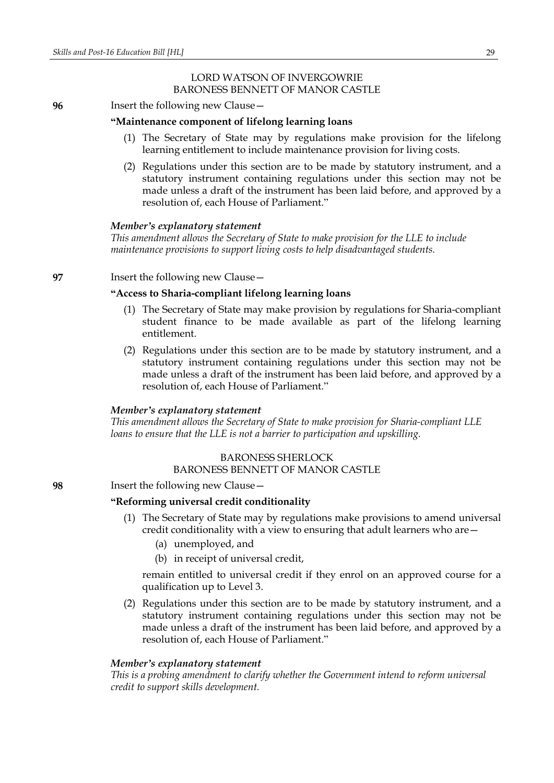### LORD WATSON OF INVERGOWRIE BARONESS BENNETT OF MANOR CASTLE

### **96** Insert the following new Clause—

#### **"Maintenance component of lifelong learning loans**

- (1) The Secretary of State may by regulations make provision for the lifelong learning entitlement to include maintenance provision for living costs.
- (2) Regulations under this section are to be made by statutory instrument, and a statutory instrument containing regulations under this section may not be made unless a draft of the instrument has been laid before, and approved by a resolution of, each House of Parliament."

### *Member's explanatory statement*

*This amendment allows the Secretary of State to make provision for the LLE to include maintenance provisions to support living costs to help disadvantaged students.*

**97** Insert the following new Clause—

### **"Access to Sharia-compliant lifelong learning loans**

- (1) The Secretary of State may make provision by regulations for Sharia-compliant student finance to be made available as part of the lifelong learning entitlement.
- (2) Regulations under this section are to be made by statutory instrument, and a statutory instrument containing regulations under this section may not be made unless a draft of the instrument has been laid before, and approved by a resolution of, each House of Parliament."

#### *Member's explanatory statement*

*This amendment allows the Secretary of State to make provision for Sharia-compliant LLE loans to ensure that the LLE is not a barrier to participation and upskilling.*

### BARONESS SHERLOCK

### BARONESS BENNETT OF MANOR CASTLE

**98** Insert the following new Clause—

### **"Reforming universal credit conditionality**

- (1) The Secretary of State may by regulations make provisions to amend universal credit conditionality with a view to ensuring that adult learners who are—
	- (a) unemployed, and
	- (b) in receipt of universal credit,

remain entitled to universal credit if they enrol on an approved course for a qualification up to Level 3.

(2) Regulations under this section are to be made by statutory instrument, and a statutory instrument containing regulations under this section may not be made unless a draft of the instrument has been laid before, and approved by a resolution of, each House of Parliament."

#### *Member's explanatory statement*

*This is a probing amendment to clarify whether the Government intend to reform universal credit to support skills development.*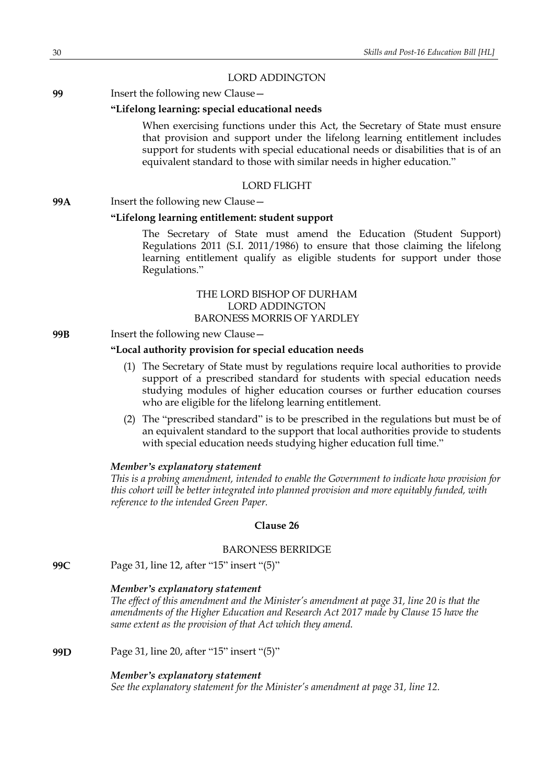### LORD ADDINGTON

**99** Insert the following new Clause—

### **"Lifelong learning: special educational needs**

When exercising functions under this Act, the Secretary of State must ensure that provision and support under the lifelong learning entitlement includes support for students with special educational needs or disabilities that is of an equivalent standard to those with similar needs in higher education."

### LORD FLIGHT

### **99A** Insert the following new Clause—

### **"Lifelong learning entitlement: student support**

The Secretary of State must amend the Education (Student Support) Regulations 2011 (S.I. 2011/1986) to ensure that those claiming the lifelong learning entitlement qualify as eligible students for support under those Regulations."

### THE LORD BISHOP OF DURHAM LORD ADDINGTON BARONESS MORRIS OF YARDLEY

### **99B** Insert the following new Clause—

### **"Local authority provision for special education needs**

- (1) The Secretary of State must by regulations require local authorities to provide support of a prescribed standard for students with special education needs studying modules of higher education courses or further education courses who are eligible for the lifelong learning entitlement.
- (2) The "prescribed standard" is to be prescribed in the regulations but must be of an equivalent standard to the support that local authorities provide to students with special education needs studying higher education full time."

### *Member's explanatory statement*

*This is a probing amendment, intended to enable the Government to indicate how provision for this cohort will be better integrated into planned provision and more equitably funded, with reference to the intended Green Paper.*

### **Clause 26**

#### BARONESS BERRIDGE

**99C** Page 31, line 12, after "15" insert "(5)"

#### *Member's explanatory statement*

*The effect of this amendment and the Minister's amendment at page 31, line 20 is that the amendments of the Higher Education and Research Act 2017 made by Clause 15 have the same extent as the provision of that Act which they amend.*

**99D** Page 31, line 20, after "15" insert "(5)"

#### *Member's explanatory statement*

*See the explanatory statement for the Minister's amendment at page 31, line 12.*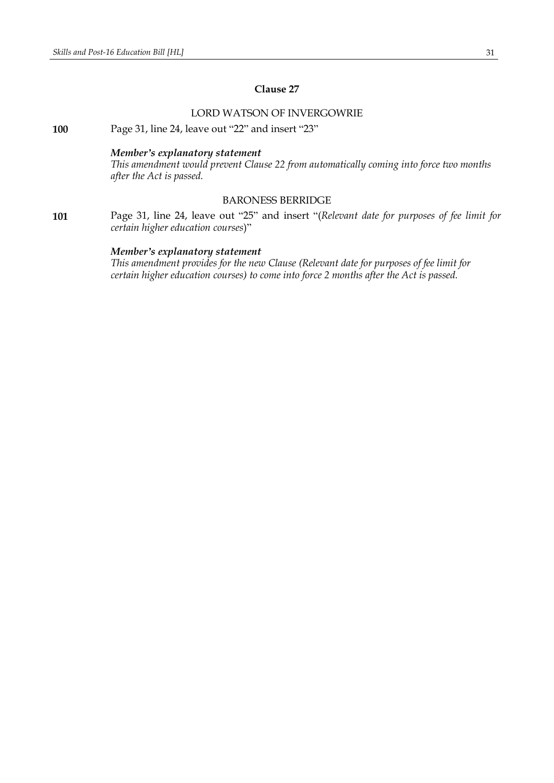### **Clause 27**

### LORD WATSON OF INVERGOWRIE

**100** Page 31, line 24, leave out "22" and insert "23"

### *Member's explanatory statement*

*This amendment would prevent Clause 22 from automatically coming into force two months after the Act is passed.*

### BARONESS BERRIDGE

**101** Page 31, line 24, leave out "25" and insert "(*Relevant date for purposes of fee limit for certain higher education courses*)"

### *Member's explanatory statement*

*This amendment provides for the new Clause (Relevant date for purposes of fee limit for certain higher education courses) to come into force 2 months after the Act is passed.*